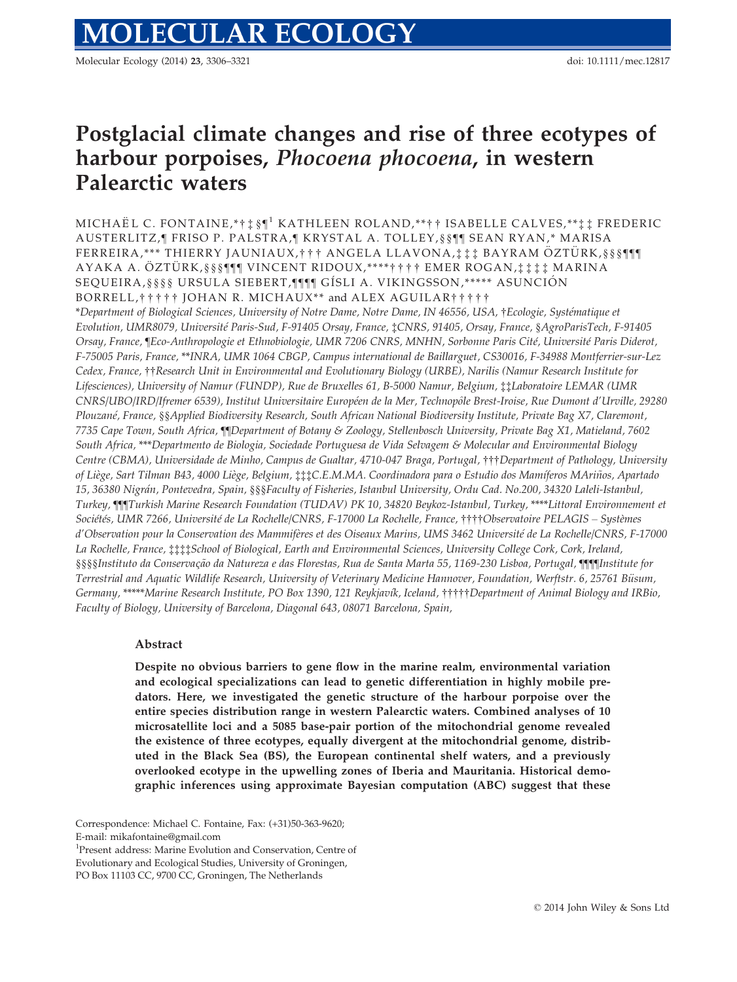Molecular Ecology (2014) 23, 3306–3321 doi: 10.1111/mec.12817

# Postglacial climate changes and rise of three ecotypes of harbour porpoises, Phocoena phocoena, in western Palearctic waters

MICHAËL C. FONTAINE,\*†  $\ddagger \$ §  $\P^1$  KATHLEEN ROLAND,\*\*  $\dagger \dagger$  ISABELLE CALVES,\*\*  $\ddagger \ddagger$  FREDERIC AUSTERLITZ, ¶ FRISO P. PALSTRA, ¶ KRYSTAL A. TOLLEY,§§¶¶ SEAN RYAN,\* MARISA FERREIRA,\*\*\* THIERRY JAUNIAUX,††† ANGELA LLAVONA,‡‡‡ BAYRAM ÖZTÜRK, § § § ¶¶ AYAKA A. ÖZTÜRK, §§§¶¶¶ VINCENT RIDOUX,\*\*\*\*†††† EMER ROGAN,‡‡‡‡ MARINA SEQUEIRA,§§§§ URSULA SIEBERT,¶¶¶ GÍSLI A. VIKINGSSON,\*\*\*\*\* ASUNCIÓN BORRELL,††††† JOHAN R. MICHAUX\*\* and ALEX AGUILAR†††††

\*Department of Biological Sciences, University of Notre Dame, Notre Dame, IN 46556, USA, †Ecologie, Systematique et Evolution, UMR8079, Universite Paris-Sud, F-91405 Orsay, France, ‡CNRS, 91405, Orsay, France, §AgroParisTech, F-91405 Orsay, France, [Eco-Anthropologie et Ethnobiologie, UMR 7206 CNRS, MNHN, Sorbonne Paris Cité, Université Paris Diderot, F-75005 Paris, France, \*\*INRA, UMR 1064 CBGP, Campus international de Baillarguet, CS30016, F-34988 Montferrier-sur-Lez Cedex, France, ††Research Unit in Environmental and Evolutionary Biology (URBE), Narilis (Namur Research Institute for Lifesciences), University of Namur (FUNDP), Rue de Bruxelles 61, B-5000 Namur, Belgium, ‡‡Laboratoire LEMAR (UMR CNRS/UBO/IRD/Ifremer 6539), Institut Universitaire Européen de la Mer, Technopôle Brest-Iroise, Rue Dumont d'Urville, 29280 Plouzane, France, §§Applied Biodiversity Research, South African National Biodiversity Institute, Private Bag X7, Claremont, 7735 Cape Town, South Africa, ¶¶Department of Botany & Zoology, Stellenbosch University, Private Bag X1, Matieland, 7602 South Africa, \*\*\*Departmento de Biologia, Sociedade Portuguesa de Vida Selvagem & Molecular and Environmental Biology Centre (CBMA), Universidade de Minho, Campus de Gualtar, 4710-047 Braga, Portugal, †††Department of Pathology, University of Liege, Sart Tilman B43, 4000 Liege, Belgium, ‡‡‡C.E.M.MA. Coordinadora para o Estudio dos Mamıferos MArinos, Apartado ~ 15, 36380 Nigran, Pontevedra, Spain, §§§Faculty of Fisheries, Istanbul University, Ordu Cad. No.200, 34320 Laleli-Istanbul, Turkey, ¶¶¶Turkish Marine Research Foundation (TUDAV) PK 10, 34820 Beykoz-Istanbul, Turkey, \*\*\*\*Littoral Environnement et Sociétés, UMR 7266, Université de La Rochelle/CNRS, F-17000 La Rochelle, France, ††††Observatoire PELAGIS – Systèmes d'Observation pour la Conservation des Mammiferes et des Oiseaux Marins, UMS 3462 Universite de La Rochelle/CNRS, F-17000 La Rochelle, France, ‡‡‡‡School of Biological, Earth and Environmental Sciences, University College Cork, Cork, Ireland, §§§§Instituto da Conservação da Natureza e das Florestas, Rua de Santa Marta 55, 1169-230 Lisboa, Portugal, ¶¶¶Institute for Terrestrial and Aquatic Wildlife Research, University of Veterinary Medicine Hannover, Foundation, Werftstr. 6, 25761 Büsum, Germany, \*\*\*\*\*Marine Research Institute, PO Box 1390, 121 Reykjavık, Iceland, †††††Department of Animal Biology and IRBio, Faculty of Biology, University of Barcelona, Diagonal 643, 08071 Barcelona, Spain,

## Abstract

Despite no obvious barriers to gene flow in the marine realm, environmental variation and ecological specializations can lead to genetic differentiation in highly mobile predators. Here, we investigated the genetic structure of the harbour porpoise over the entire species distribution range in western Palearctic waters. Combined analyses of 10 microsatellite loci and a 5085 base-pair portion of the mitochondrial genome revealed the existence of three ecotypes, equally divergent at the mitochondrial genome, distributed in the Black Sea (BS), the European continental shelf waters, and a previously overlooked ecotype in the upwelling zones of Iberia and Mauritania. Historical demographic inferences using approximate Bayesian computation (ABC) suggest that these

Correspondence: Michael C. Fontaine, Fax: (+31)50-363-9620; E-mail: mikafontaine@gmail.com

<sup>1</sup>Present address: Marine Evolution and Conservation, Centre of

Evolutionary and Ecological Studies, University of Groningen,

PO Box 11103 CC, 9700 CC, Groningen, The Netherlands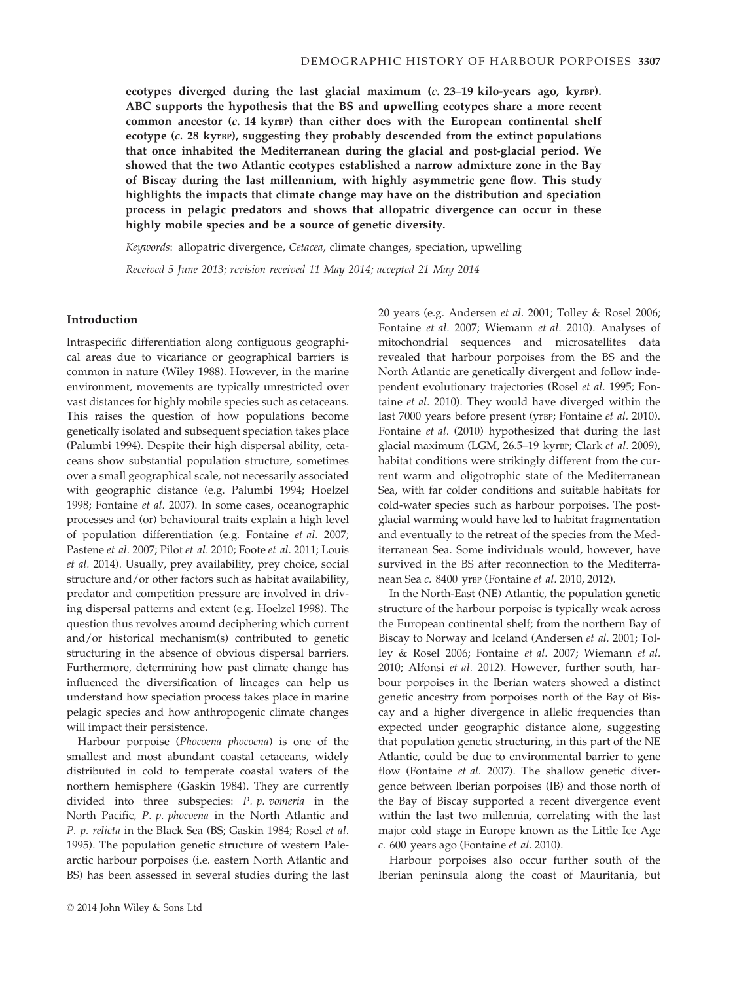ecotypes diverged during the last glacial maximum (c. 23–19 kilo-years ago, kyrBP). ABC supports the hypothesis that the BS and upwelling ecotypes share a more recent common ancestor  $(c. 14 \text{ kyrBP})$  than either does with the European continental shelf ecotype (c. 28 kyrBP), suggesting they probably descended from the extinct populations that once inhabited the Mediterranean during the glacial and post-glacial period. We showed that the two Atlantic ecotypes established a narrow admixture zone in the Bay of Biscay during the last millennium, with highly asymmetric gene flow. This study highlights the impacts that climate change may have on the distribution and speciation process in pelagic predators and shows that allopatric divergence can occur in these highly mobile species and be a source of genetic diversity.

Keywords: allopatric divergence, Cetacea, climate changes, speciation, upwelling

Received 5 June 2013; revision received 11 May 2014; accepted 21 May 2014

## Introduction

Intraspecific differentiation along contiguous geographical areas due to vicariance or geographical barriers is common in nature (Wiley 1988). However, in the marine environment, movements are typically unrestricted over vast distances for highly mobile species such as cetaceans. This raises the question of how populations become genetically isolated and subsequent speciation takes place (Palumbi 1994). Despite their high dispersal ability, cetaceans show substantial population structure, sometimes over a small geographical scale, not necessarily associated with geographic distance (e.g. Palumbi 1994; Hoelzel 1998; Fontaine et al. 2007). In some cases, oceanographic processes and (or) behavioural traits explain a high level of population differentiation (e.g. Fontaine et al. 2007; Pastene et al. 2007; Pilot et al. 2010; Foote et al. 2011; Louis et al. 2014). Usually, prey availability, prey choice, social structure and/or other factors such as habitat availability, predator and competition pressure are involved in driving dispersal patterns and extent (e.g. Hoelzel 1998). The question thus revolves around deciphering which current and/or historical mechanism(s) contributed to genetic structuring in the absence of obvious dispersal barriers. Furthermore, determining how past climate change has influenced the diversification of lineages can help us understand how speciation process takes place in marine pelagic species and how anthropogenic climate changes will impact their persistence.

Harbour porpoise (Phocoena phocoena) is one of the smallest and most abundant coastal cetaceans, widely distributed in cold to temperate coastal waters of the northern hemisphere (Gaskin 1984). They are currently divided into three subspecies: P. p. vomeria in the North Pacific, P. p. phocoena in the North Atlantic and P. p. relicta in the Black Sea (BS; Gaskin 1984; Rosel et al. 1995). The population genetic structure of western Palearctic harbour porpoises (i.e. eastern North Atlantic and BS) has been assessed in several studies during the last

20 years (e.g. Andersen et al. 2001; Tolley & Rosel 2006; Fontaine et al. 2007; Wiemann et al. 2010). Analyses of mitochondrial sequences and microsatellites data revealed that harbour porpoises from the BS and the North Atlantic are genetically divergent and follow independent evolutionary trajectories (Rosel et al. 1995; Fontaine et al. 2010). They would have diverged within the last 7000 years before present (yrBP; Fontaine et al. 2010). Fontaine et al. (2010) hypothesized that during the last glacial maximum (LGM, 26.5-19 kyrBP; Clark et al. 2009), habitat conditions were strikingly different from the current warm and oligotrophic state of the Mediterranean Sea, with far colder conditions and suitable habitats for cold-water species such as harbour porpoises. The postglacial warming would have led to habitat fragmentation and eventually to the retreat of the species from the Mediterranean Sea. Some individuals would, however, have survived in the BS after reconnection to the Mediterranean Sea c. 8400 yrBP (Fontaine et al. 2010, 2012).

In the North-East (NE) Atlantic, the population genetic structure of the harbour porpoise is typically weak across the European continental shelf; from the northern Bay of Biscay to Norway and Iceland (Andersen et al. 2001; Tolley & Rosel 2006; Fontaine et al. 2007; Wiemann et al. 2010; Alfonsi et al. 2012). However, further south, harbour porpoises in the Iberian waters showed a distinct genetic ancestry from porpoises north of the Bay of Biscay and a higher divergence in allelic frequencies than expected under geographic distance alone, suggesting that population genetic structuring, in this part of the NE Atlantic, could be due to environmental barrier to gene flow (Fontaine et al. 2007). The shallow genetic divergence between Iberian porpoises (IB) and those north of the Bay of Biscay supported a recent divergence event within the last two millennia, correlating with the last major cold stage in Europe known as the Little Ice Age c. 600 years ago (Fontaine et al. 2010).

Harbour porpoises also occur further south of the Iberian peninsula along the coast of Mauritania, but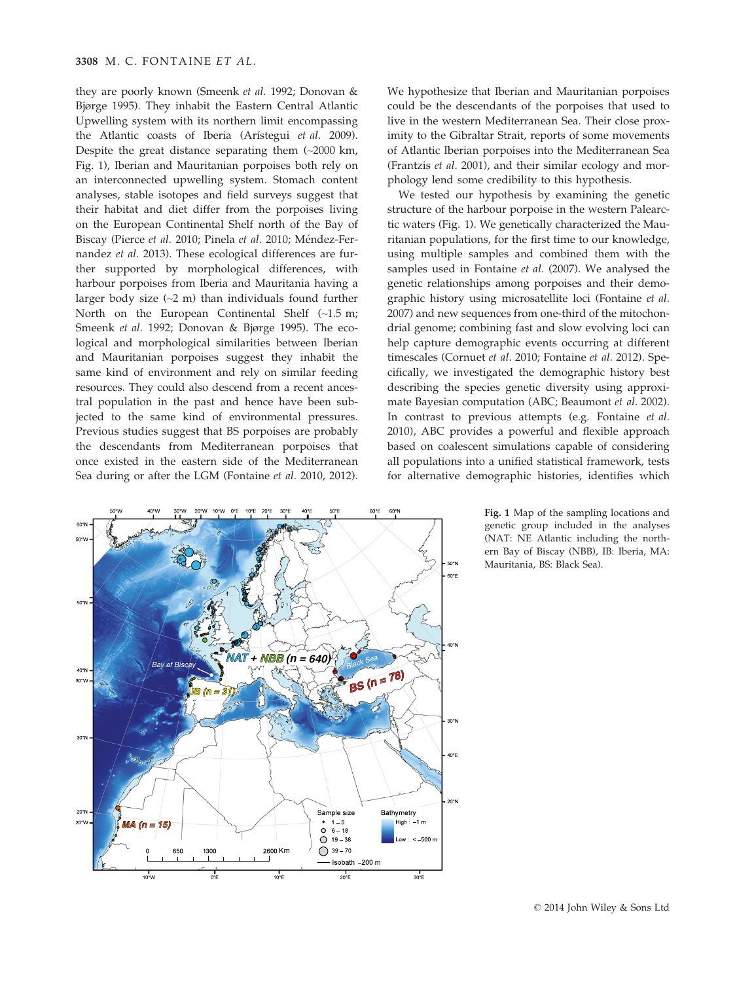they are poorly known (Smeenk et al. 1992; Donovan & Bjørge 1995). They inhabit the Eastern Central Atlantic Upwelling system with its northern limit encompassing the Atlantic coasts of Iberia (Arístegui et al. 2009). Despite the great distance separating them (~2000 km, Fig. 1), Iberian and Mauritanian porpoises both rely on an interconnected upwelling system. Stomach content analyses, stable isotopes and field surveys suggest that their habitat and diet differ from the porpoises living on the European Continental Shelf north of the Bay of Biscay (Pierce et al. 2010; Pinela et al. 2010; Méndez-Fernandez et al. 2013). These ecological differences are further supported by morphological differences, with harbour porpoises from Iberia and Mauritania having a larger body size  $(-2 \text{ m})$  than individuals found further North on the European Continental Shelf (~1.5 m; Smeenk et al. 1992; Donovan & Bjørge 1995). The ecological and morphological similarities between Iberian and Mauritanian porpoises suggest they inhabit the same kind of environment and rely on similar feeding resources. They could also descend from a recent ancestral population in the past and hence have been subjected to the same kind of environmental pressures. Previous studies suggest that BS porpoises are probably the descendants from Mediterranean porpoises that once existed in the eastern side of the Mediterranean Sea during or after the LGM (Fontaine et al. 2010, 2012).



We hypothesize that Iberian and Mauritanian porpoises could be the descendants of the porpoises that used to live in the western Mediterranean Sea. Their close proximity to the Gibraltar Strait, reports of some movements of Atlantic Iberian porpoises into the Mediterranean Sea (Frantzis et al. 2001), and their similar ecology and morphology lend some credibility to this hypothesis.

We tested our hypothesis by examining the genetic structure of the harbour porpoise in the western Palearctic waters (Fig. 1). We genetically characterized the Mauritanian populations, for the first time to our knowledge, using multiple samples and combined them with the samples used in Fontaine et al. (2007). We analysed the genetic relationships among porpoises and their demographic history using microsatellite loci (Fontaine et al. 2007) and new sequences from one-third of the mitochondrial genome; combining fast and slow evolving loci can help capture demographic events occurring at different timescales (Cornuet et al. 2010; Fontaine et al. 2012). Specifically, we investigated the demographic history best describing the species genetic diversity using approximate Bayesian computation (ABC; Beaumont et al. 2002). In contrast to previous attempts (e.g. Fontaine et al. 2010), ABC provides a powerful and flexible approach based on coalescent simulations capable of considering all populations into a unified statistical framework, tests for alternative demographic histories, identifies which

> Fig. 1 Map of the sampling locations and genetic group included in the analyses (NAT: NE Atlantic including the northern Bay of Biscay (NBB), IB: Iberia, MA: Mauritania, BS: Black Sea).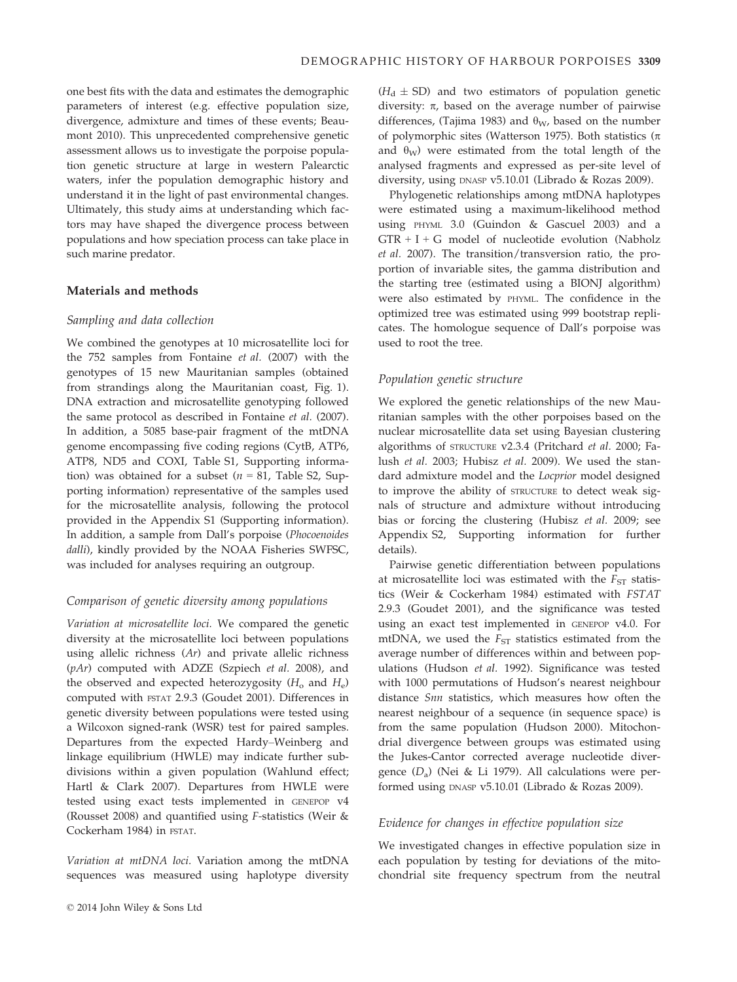one best fits with the data and estimates the demographic parameters of interest (e.g. effective population size, divergence, admixture and times of these events; Beaumont 2010). This unprecedented comprehensive genetic assessment allows us to investigate the porpoise population genetic structure at large in western Palearctic waters, infer the population demographic history and understand it in the light of past environmental changes. Ultimately, this study aims at understanding which factors may have shaped the divergence process between populations and how speciation process can take place in such marine predator.

## Materials and methods

## Sampling and data collection

We combined the genotypes at 10 microsatellite loci for the 752 samples from Fontaine et al. (2007) with the genotypes of 15 new Mauritanian samples (obtained from strandings along the Mauritanian coast, Fig. 1). DNA extraction and microsatellite genotyping followed the same protocol as described in Fontaine et al. (2007). In addition, a 5085 base-pair fragment of the mtDNA genome encompassing five coding regions (CytB, ATP6, ATP8, ND5 and COXI, Table S1, Supporting information) was obtained for a subset ( $n = 81$ , Table S2, Supporting information) representative of the samples used for the microsatellite analysis, following the protocol provided in the Appendix S1 (Supporting information). In addition, a sample from Dall's porpoise (Phocoenoides dalli), kindly provided by the NOAA Fisheries SWFSC, was included for analyses requiring an outgroup.

#### Comparison of genetic diversity among populations

Variation at microsatellite loci. We compared the genetic diversity at the microsatellite loci between populations using allelic richness (Ar) and private allelic richness (pAr) computed with ADZE (Szpiech et al. 2008), and the observed and expected heterozygosity  $(H_0$  and  $H_e)$ computed with FSTAT 2.9.3 (Goudet 2001). Differences in genetic diversity between populations were tested using a Wilcoxon signed-rank (WSR) test for paired samples. Departures from the expected Hardy–Weinberg and linkage equilibrium (HWLE) may indicate further subdivisions within a given population (Wahlund effect; Hartl & Clark 2007). Departures from HWLE were tested using exact tests implemented in GENEPOP v4 (Rousset 2008) and quantified using F-statistics (Weir & Cockerham 1984) in FSTAT.

Variation at mtDNA loci. Variation among the mtDNA sequences was measured using haplotype diversity  $(H_d \pm SD)$  and two estimators of population genetic diversity:  $\pi$ , based on the average number of pairwise differences, (Tajima 1983) and  $\theta_W$ , based on the number of polymorphic sites (Watterson 1975). Both statistics ( $\pi$ and  $\theta_{W}$ ) were estimated from the total length of the analysed fragments and expressed as per-site level of diversity, using DNASP v5.10.01 (Librado & Rozas 2009).

Phylogenetic relationships among mtDNA haplotypes were estimated using a maximum-likelihood method using PHYML 3.0 (Guindon & Gascuel 2003) and a  $GTR + I + G$  model of nucleotide evolution (Nabholz et al. 2007). The transition/transversion ratio, the proportion of invariable sites, the gamma distribution and the starting tree (estimated using a BIONJ algorithm) were also estimated by PHYML. The confidence in the optimized tree was estimated using 999 bootstrap replicates. The homologue sequence of Dall's porpoise was used to root the tree.

### Population genetic structure

We explored the genetic relationships of the new Mauritanian samples with the other porpoises based on the nuclear microsatellite data set using Bayesian clustering algorithms of STRUCTURE v2.3.4 (Pritchard et al. 2000; Falush et al. 2003; Hubisz et al. 2009). We used the standard admixture model and the Locprior model designed to improve the ability of STRUCTURE to detect weak signals of structure and admixture without introducing bias or forcing the clustering (Hubisz et al. 2009; see Appendix S2, Supporting information for further details).

Pairwise genetic differentiation between populations at microsatellite loci was estimated with the  $F_{ST}$  statistics (Weir & Cockerham 1984) estimated with FSTAT 2.9.3 (Goudet 2001), and the significance was tested using an exact test implemented in GENEPOP v4.0. For mtDNA, we used the  $F_{ST}$  statistics estimated from the average number of differences within and between populations (Hudson et al. 1992). Significance was tested with 1000 permutations of Hudson's nearest neighbour distance Snn statistics, which measures how often the nearest neighbour of a sequence (in sequence space) is from the same population (Hudson 2000). Mitochondrial divergence between groups was estimated using the Jukes-Cantor corrected average nucleotide divergence  $(D_a)$  (Nei & Li 1979). All calculations were performed using DNASP v5.10.01 (Librado & Rozas 2009).

## Evidence for changes in effective population size

We investigated changes in effective population size in each population by testing for deviations of the mitochondrial site frequency spectrum from the neutral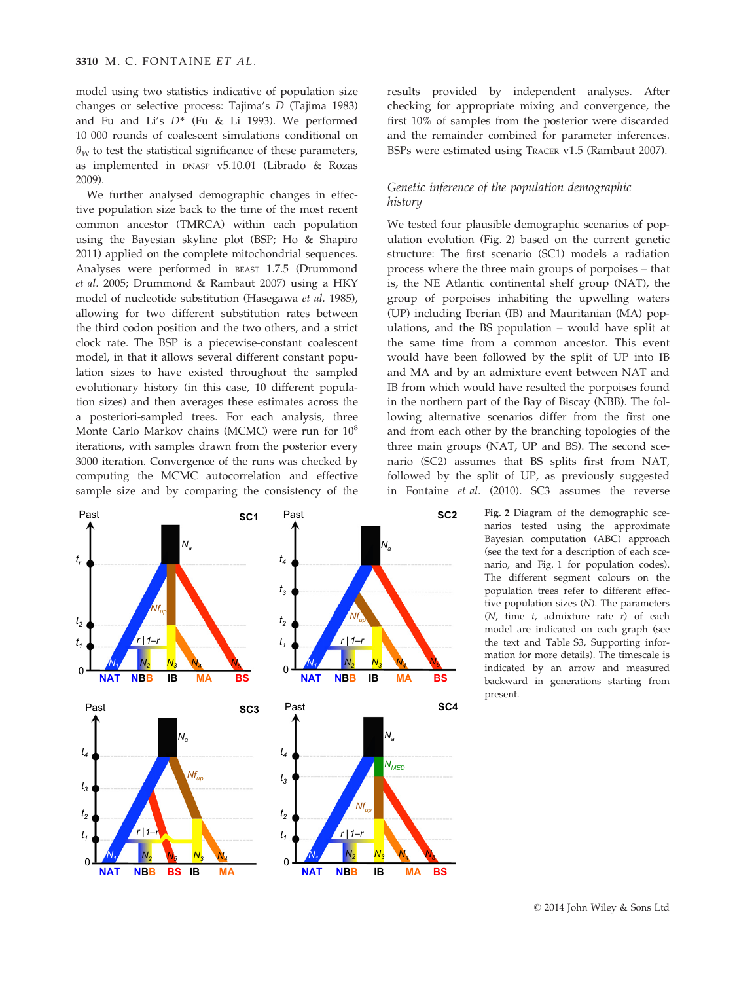model using two statistics indicative of population size changes or selective process: Tajima's D (Tajima 1983) and Fu and Li's  $D^*$  (Fu & Li 1993). We performed 10 000 rounds of coalescent simulations conditional on  $\theta_W$  to test the statistical significance of these parameters, as implemented in DNASP v5.10.01 (Librado & Rozas 2009).

We further analysed demographic changes in effective population size back to the time of the most recent common ancestor (TMRCA) within each population using the Bayesian skyline plot (BSP; Ho & Shapiro 2011) applied on the complete mitochondrial sequences. Analyses were performed in BEAST 1.7.5 (Drummond et al. 2005; Drummond & Rambaut 2007) using a HKY model of nucleotide substitution (Hasegawa et al. 1985), allowing for two different substitution rates between the third codon position and the two others, and a strict clock rate. The BSP is a piecewise-constant coalescent model, in that it allows several different constant population sizes to have existed throughout the sampled evolutionary history (in this case, 10 different population sizes) and then averages these estimates across the a posteriori-sampled trees. For each analysis, three Monte Carlo Markov chains (MCMC) were run for  $10^8$ iterations, with samples drawn from the posterior every 3000 iteration. Convergence of the runs was checked by computing the MCMC autocorrelation and effective sample size and by comparing the consistency of the

**NAT NBB IB MA** *Nfup Na*   $t_1$   $\frac{1}{r}$   $\frac{1}{r+1-r}$  $t<sub>2</sub>$ *tr* Past **SC1**  $N_1$   $N_2$   $N_3$   $N_4$   $N_5$   $N_1$  $N_1$   $N_2$   $N_5$   $N_3$   $N_4$   $N_1$ 0 **NAT NBB IB MA BS** 0 **NAT NBB IB MA** *Nfup Na r* | *1–r* **SC2** *t1 t2 t3 t4*  Past 0  $N_1$   $N_2$   $N_3$   $N_4$ **NAT NBB BS IB MA** *Nfup Na r* | **SC3** *t1*   $t<sub>2</sub>$ *t3 t4*   $\Omega$ Past *1–r N2 N5 N3 N4 t3*  **NAT NBB IB MA**  *Nfup Na NMED r* | *1–r* **SC4** *t1*   $t<sub>2</sub>$ *t4*  Past  $\Omega$ *N2 N3 N4 N5*   $N_{3}$ **BS**   $N_5$   $N_1$   $N_2$   $N_3$   $N_4$   $N_5$ **BS BS** 

results provided by independent analyses. After checking for appropriate mixing and convergence, the first 10% of samples from the posterior were discarded and the remainder combined for parameter inferences. BSPs were estimated using TRACER v1.5 (Rambaut 2007).

# Genetic inference of the population demographic history

We tested four plausible demographic scenarios of population evolution (Fig. 2) based on the current genetic structure: The first scenario (SC1) models a radiation process where the three main groups of porpoises – that is, the NE Atlantic continental shelf group (NAT), the group of porpoises inhabiting the upwelling waters (UP) including Iberian (IB) and Mauritanian (MA) populations, and the BS population – would have split at the same time from a common ancestor. This event would have been followed by the split of UP into IB and MA and by an admixture event between NAT and IB from which would have resulted the porpoises found in the northern part of the Bay of Biscay (NBB). The following alternative scenarios differ from the first one and from each other by the branching topologies of the three main groups (NAT, UP and BS). The second scenario (SC2) assumes that BS splits first from NAT, followed by the split of UP, as previously suggested in Fontaine et al. (2010). SC3 assumes the reverse

> Fig. 2 Diagram of the demographic scenarios tested using the approximate Bayesian computation (ABC) approach (see the text for a description of each scenario, and Fig. 1 for population codes). The different segment colours on the population trees refer to different effective population sizes (N). The parameters  $(N, \text{ time } t, \text{ admixture rate } r)$  of each model are indicated on each graph (see the text and Table S3, Supporting information for more details). The timescale is indicated by an arrow and measured backward in generations starting from present.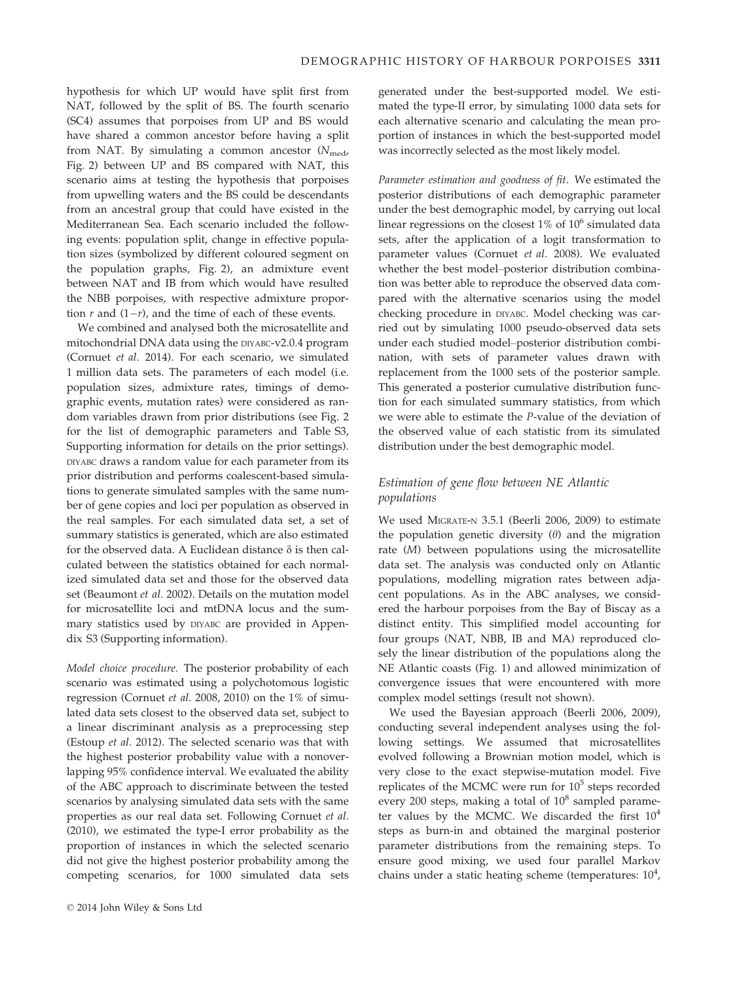hypothesis for which UP would have split first from NAT, followed by the split of BS. The fourth scenario (SC4) assumes that porpoises from UP and BS would have shared a common ancestor before having a split from NAT. By simulating a common ancestor  $(N_{\text{med}})$ Fig. 2) between UP and BS compared with NAT, this scenario aims at testing the hypothesis that porpoises from upwelling waters and the BS could be descendants from an ancestral group that could have existed in the Mediterranean Sea. Each scenario included the following events: population split, change in effective population sizes (symbolized by different coloured segment on the population graphs, Fig. 2), an admixture event between NAT and IB from which would have resulted the NBB porpoises, with respective admixture proportion  $r$  and  $(1-r)$ , and the time of each of these events.

We combined and analysed both the microsatellite and mitochondrial DNA data using the DIYABC-v2.0.4 program (Cornuet et al. 2014). For each scenario, we simulated 1 million data sets. The parameters of each model (i.e. population sizes, admixture rates, timings of demographic events, mutation rates) were considered as random variables drawn from prior distributions (see Fig. 2 for the list of demographic parameters and Table S3, Supporting information for details on the prior settings). DIYABC draws a random value for each parameter from its prior distribution and performs coalescent-based simulations to generate simulated samples with the same number of gene copies and loci per population as observed in the real samples. For each simulated data set, a set of summary statistics is generated, which are also estimated for the observed data. A Euclidean distance  $\delta$  is then calculated between the statistics obtained for each normalized simulated data set and those for the observed data set (Beaumont et al. 2002). Details on the mutation model for microsatellite loci and mtDNA locus and the summary statistics used by DIYABC are provided in Appendix S3 (Supporting information).

Model choice procedure. The posterior probability of each scenario was estimated using a polychotomous logistic regression (Cornuet et al. 2008, 2010) on the 1% of simulated data sets closest to the observed data set, subject to a linear discriminant analysis as a preprocessing step (Estoup et al. 2012). The selected scenario was that with the highest posterior probability value with a nonoverlapping 95% confidence interval. We evaluated the ability of the ABC approach to discriminate between the tested scenarios by analysing simulated data sets with the same properties as our real data set. Following Cornuet et al. (2010), we estimated the type-I error probability as the proportion of instances in which the selected scenario did not give the highest posterior probability among the competing scenarios, for 1000 simulated data sets

generated under the best-supported model. We estimated the type-II error, by simulating 1000 data sets for each alternative scenario and calculating the mean proportion of instances in which the best-supported model was incorrectly selected as the most likely model.

Parameter estimation and goodness of fit. We estimated the posterior distributions of each demographic parameter under the best demographic model, by carrying out local linear regressions on the closest  $1\%$  of  $10^6$  simulated data sets, after the application of a logit transformation to parameter values (Cornuet et al. 2008). We evaluated whether the best model–posterior distribution combination was better able to reproduce the observed data compared with the alternative scenarios using the model checking procedure in DIYABC. Model checking was carried out by simulating 1000 pseudo-observed data sets under each studied model–posterior distribution combination, with sets of parameter values drawn with replacement from the 1000 sets of the posterior sample. This generated a posterior cumulative distribution function for each simulated summary statistics, from which we were able to estimate the P-value of the deviation of the observed value of each statistic from its simulated distribution under the best demographic model.

# Estimation of gene flow between NE Atlantic populations

We used MIGRATE-N 3.5.1 (Beerli 2006, 2009) to estimate the population genetic diversity  $(\theta)$  and the migration rate (M) between populations using the microsatellite data set. The analysis was conducted only on Atlantic populations, modelling migration rates between adjacent populations. As in the ABC analyses, we considered the harbour porpoises from the Bay of Biscay as a distinct entity. This simplified model accounting for four groups (NAT, NBB, IB and MA) reproduced closely the linear distribution of the populations along the NE Atlantic coasts (Fig. 1) and allowed minimization of convergence issues that were encountered with more complex model settings (result not shown).

We used the Bayesian approach (Beerli 2006, 2009), conducting several independent analyses using the following settings. We assumed that microsatellites evolved following a Brownian motion model, which is very close to the exact stepwise-mutation model. Five replicates of the MCMC were run for  $10<sup>5</sup>$  steps recorded every 200 steps, making a total of  $10^8$  sampled parameter values by the MCMC. We discarded the first  $10^4$ steps as burn-in and obtained the marginal posterior parameter distributions from the remaining steps. To ensure good mixing, we used four parallel Markov chains under a static heating scheme (temperatures:  $10^4$ ,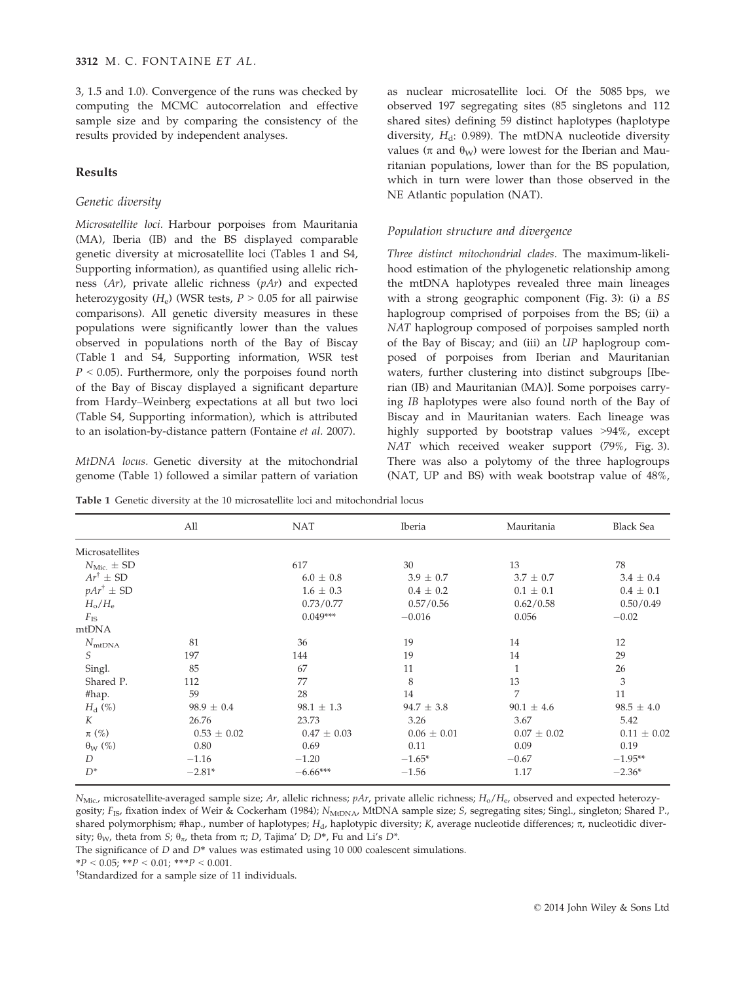3, 1.5 and 1.0). Convergence of the runs was checked by computing the MCMC autocorrelation and effective sample size and by comparing the consistency of the results provided by independent analyses.

## Results

## Genetic diversity

Microsatellite loci. Harbour porpoises from Mauritania (MA), Iberia (IB) and the BS displayed comparable genetic diversity at microsatellite loci (Tables 1 and S4, Supporting information), as quantified using allelic richness (Ar), private allelic richness (pAr) and expected heterozygosity  $(H_e)$  (WSR tests,  $P > 0.05$  for all pairwise comparisons). All genetic diversity measures in these populations were significantly lower than the values observed in populations north of the Bay of Biscay (Table 1 and S4, Supporting information, WSR test  $P < 0.05$ ). Furthermore, only the porpoises found north of the Bay of Biscay displayed a significant departure from Hardy–Weinberg expectations at all but two loci (Table S4, Supporting information), which is attributed to an isolation-by-distance pattern (Fontaine et al. 2007).

MtDNA locus. Genetic diversity at the mitochondrial genome (Table 1) followed a similar pattern of variation as nuclear microsatellite loci. Of the 5085 bps, we observed 197 segregating sites (85 singletons and 112 shared sites) defining 59 distinct haplotypes (haplotype diversity,  $H_d$ : 0.989). The mtDNA nucleotide diversity values ( $\pi$  and  $\theta_W$ ) were lowest for the Iberian and Mauritanian populations, lower than for the BS population, which in turn were lower than those observed in the NE Atlantic population (NAT).

## Population structure and divergence

Three distinct mitochondrial clades. The maximum-likelihood estimation of the phylogenetic relationship among the mtDNA haplotypes revealed three main lineages with a strong geographic component (Fig. 3): (i) a BS haplogroup comprised of porpoises from the BS; (ii) a NAT haplogroup composed of porpoises sampled north of the Bay of Biscay; and (iii) an UP haplogroup composed of porpoises from Iberian and Mauritanian waters, further clustering into distinct subgroups [Iberian (IB) and Mauritanian (MA)]. Some porpoises carrying IB haplotypes were also found north of the Bay of Biscay and in Mauritanian waters. Each lineage was highly supported by bootstrap values >94%, except NAT which received weaker support (79%, Fig. 3). There was also a polytomy of the three haplogroups (NAT, UP and BS) with weak bootstrap value of 48%,

Table 1 Genetic diversity at the 10 microsatellite loci and mitochondrial locus

|                        | All             | <b>NAT</b>      | Iberia          | Mauritania      | <b>Black Sea</b> |
|------------------------|-----------------|-----------------|-----------------|-----------------|------------------|
| Microsatellites        |                 |                 |                 |                 |                  |
| $N_{\rm Mic.} \pm SD$  |                 | 617             | 30              | 13              | 78               |
| $Ar^{\dagger} \pm SD$  |                 | $6.0 \pm 0.8$   | $3.9 \pm 0.7$   | $3.7 \pm 0.7$   | $3.4 \pm 0.4$    |
| $pAr^{\dagger} \pm SD$ |                 | $1.6 \pm 0.3$   | $0.4 \pm 0.2$   | $0.1 \pm 0.1$   | $0.4 \pm 0.1$    |
| $H_{\rm o}/H_{\rm e}$  |                 | 0.73/0.77       | 0.57/0.56       | 0.62/0.58       | 0.50/0.49        |
| $F_{\rm IS}$           |                 | $0.049***$      | $-0.016$        | 0.056           | $-0.02$          |
| mtDNA                  |                 |                 |                 |                 |                  |
| $N_{\rm mtDNA}$        | 81              | 36              | 19              | 14              | 12               |
| S                      | 197             | 144             | 19              | 14              | 29               |
| Singl.                 | 85              | 67              | 11              |                 | 26               |
| Shared P.              | 112             | 77              | 8               | 13              | 3                |
| #hap.                  | 59              | 28              | 14              | 7               | 11               |
| $H_{d}(\%)$            | $98.9 \pm 0.4$  | $98.1 \pm 1.3$  | $94.7 \pm 3.8$  | $90.1 \pm 4.6$  | $98.5 \pm 4.0$   |
| K                      | 26.76           | 23.73           | 3.26            | 3.67            | 5.42             |
| $\pi$ (%)              | $0.53 \pm 0.02$ | $0.47 \pm 0.03$ | $0.06 \pm 0.01$ | $0.07 \pm 0.02$ | $0.11 \pm 0.02$  |
| $\theta_W$ (%)         | 0.80            | 0.69            | 0.11            | 0.09            | 0.19             |
| D                      | $-1.16$         | $-1.20$         | $-1.65*$        | $-0.67$         | $-1.95**$        |
| $D^*$                  | $-2.81*$        | $-6.66***$      | $-1.56$         | 1.17            | $-2.36*$         |

 $N_{\text{Mic}}$ , microsatellite-averaged sample size; Ar, allelic richness; pAr, private allelic richness;  $H_0/H_e$ , observed and expected heterozygosity; F<sub>IS</sub>, fixation index of Weir & Cockerham (1984); N<sub>MtDNA</sub>, MtDNA sample size; S, segregating sites; Singl., singleton; Shared P., shared polymorphism; #hap., number of haplotypes;  $H_d$ , haplotypic diversity; K, average nucleotide differences;  $\pi$ , nucleotidic diversity;  $\theta_W$ , theta from S;  $\theta_{\pi}$ , theta from  $\pi$ ; D, Tajima' D; D\*, Fu and Li's D\*.

The significance of  $D$  and  $D^*$  values was estimated using 10 000 coalescent simulations.

 $*P < 0.05; **P < 0.01; **P < 0.001.$ 

† Standardized for a sample size of 11 individuals.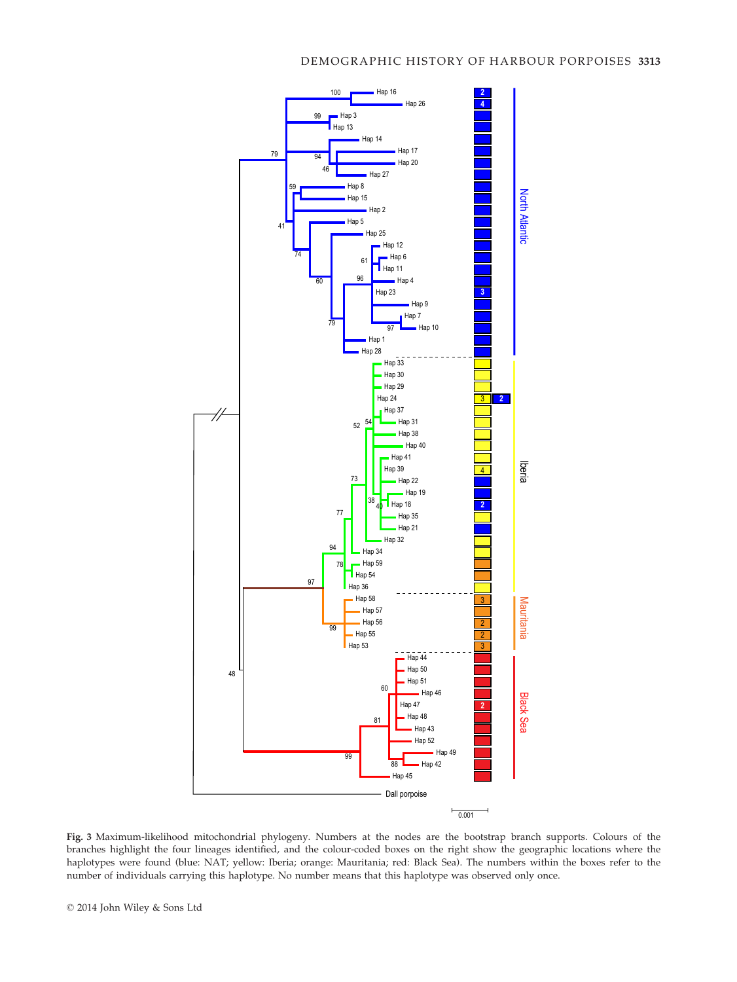

Fig. 3 Maximum-likelihood mitochondrial phylogeny. Numbers at the nodes are the bootstrap branch supports. Colours of the branches highlight the four lineages identified, and the colour-coded boxes on the right show the geographic locations where the haplotypes were found (blue: NAT; yellow: Iberia; orange: Mauritania; red: Black Sea). The numbers within the boxes refer to the number of individuals carrying this haplotype. No number means that this haplotype was observed only once.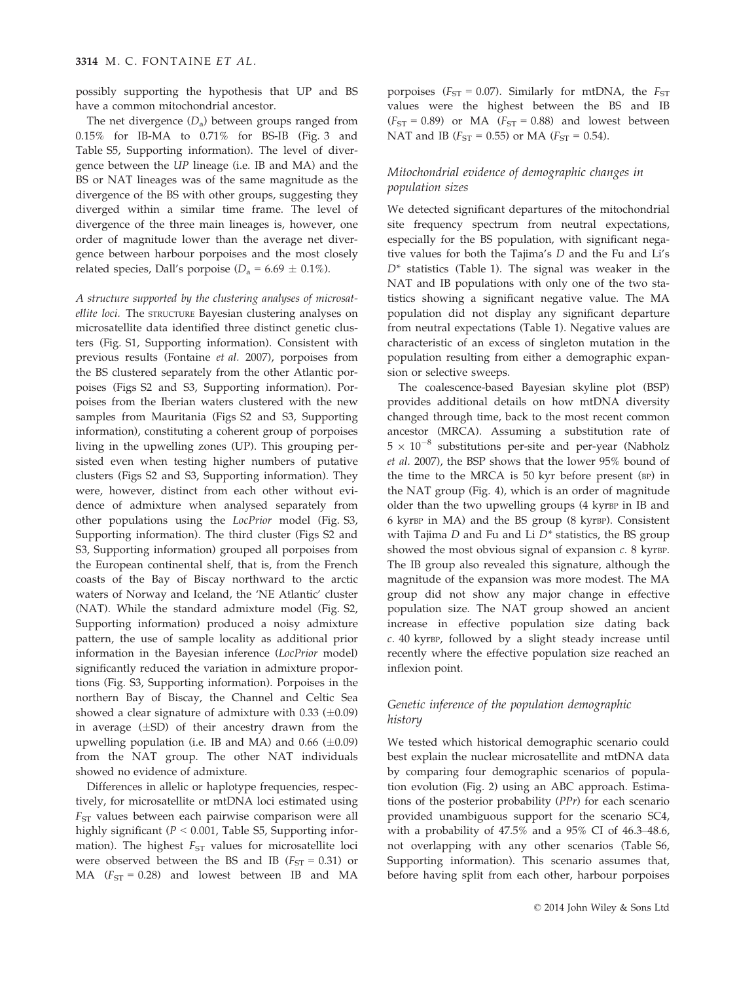possibly supporting the hypothesis that UP and BS have a common mitochondrial ancestor.

The net divergence  $(D_2)$  between groups ranged from 0.15% for IB-MA to 0.71% for BS-IB (Fig. 3 and Table S5, Supporting information). The level of divergence between the UP lineage (i.e. IB and MA) and the BS or NAT lineages was of the same magnitude as the divergence of the BS with other groups, suggesting they diverged within a similar time frame. The level of divergence of the three main lineages is, however, one order of magnitude lower than the average net divergence between harbour porpoises and the most closely related species, Dall's porpoise ( $D_a = 6.69 \pm 0.1\%$ ).

A structure supported by the clustering analyses of microsatellite loci. The STRUCTURE Bayesian clustering analyses on microsatellite data identified three distinct genetic clusters (Fig. S1, Supporting information). Consistent with previous results (Fontaine et al. 2007), porpoises from the BS clustered separately from the other Atlantic porpoises (Figs S2 and S3, Supporting information). Porpoises from the Iberian waters clustered with the new samples from Mauritania (Figs S2 and S3, Supporting information), constituting a coherent group of porpoises living in the upwelling zones (UP). This grouping persisted even when testing higher numbers of putative clusters (Figs S2 and S3, Supporting information). They were, however, distinct from each other without evidence of admixture when analysed separately from other populations using the LocPrior model (Fig. S3, Supporting information). The third cluster (Figs S2 and S3, Supporting information) grouped all porpoises from the European continental shelf, that is, from the French coasts of the Bay of Biscay northward to the arctic waters of Norway and Iceland, the 'NE Atlantic' cluster (NAT). While the standard admixture model (Fig. S2, Supporting information) produced a noisy admixture pattern, the use of sample locality as additional prior information in the Bayesian inference (LocPrior model) significantly reduced the variation in admixture proportions (Fig. S3, Supporting information). Porpoises in the northern Bay of Biscay, the Channel and Celtic Sea showed a clear signature of admixture with  $0.33$  ( $\pm 0.09$ ) in average  $(\pm SD)$  of their ancestry drawn from the upwelling population (i.e. IB and MA) and  $0.66$  ( $\pm 0.09$ ) from the NAT group. The other NAT individuals showed no evidence of admixture.

Differences in allelic or haplotype frequencies, respectively, for microsatellite or mtDNA loci estimated using  $F_{ST}$  values between each pairwise comparison were all highly significant ( $P < 0.001$ , Table S5, Supporting information). The highest  $F_{ST}$  values for microsatellite loci were observed between the BS and IB ( $F_{ST} = 0.31$ ) or MA  $(F_{ST} = 0.28)$  and lowest between IB and MA

porpoises ( $F_{ST} = 0.07$ ). Similarly for mtDNA, the  $F_{ST}$ values were the highest between the BS and IB  $(F<sub>ST</sub> = 0.89)$  or MA  $(F<sub>ST</sub> = 0.88)$  and lowest between NAT and IB ( $F_{ST} = 0.55$ ) or MA ( $F_{ST} = 0.54$ ).

# Mitochondrial evidence of demographic changes in population sizes

We detected significant departures of the mitochondrial site frequency spectrum from neutral expectations, especially for the BS population, with significant negative values for both the Tajima's D and the Fu and Li's  $D^*$  statistics (Table 1). The signal was weaker in the NAT and IB populations with only one of the two statistics showing a significant negative value. The MA population did not display any significant departure from neutral expectations (Table 1). Negative values are characteristic of an excess of singleton mutation in the population resulting from either a demographic expansion or selective sweeps.

The coalescence-based Bayesian skyline plot (BSP) provides additional details on how mtDNA diversity changed through time, back to the most recent common ancestor (MRCA). Assuming a substitution rate of  $5 \times 10^{-8}$  substitutions per-site and per-year (Nabholz et al. 2007), the BSP shows that the lower 95% bound of the time to the MRCA is 50 kyr before present (BP) in the NAT group (Fig. 4), which is an order of magnitude older than the two upwelling groups (4 kyrBP in IB and 6 kyrBP in MA) and the BS group (8 kyrBP). Consistent with Tajima  $D$  and Fu and Li  $D^*$  statistics, the BS group showed the most obvious signal of expansion  $c$ . 8 kyrBP. The IB group also revealed this signature, although the magnitude of the expansion was more modest. The MA group did not show any major change in effective population size. The NAT group showed an ancient increase in effective population size dating back c. 40 kyrBP, followed by a slight steady increase until recently where the effective population size reached an inflexion point.

# Genetic inference of the population demographic history

We tested which historical demographic scenario could best explain the nuclear microsatellite and mtDNA data by comparing four demographic scenarios of population evolution (Fig. 2) using an ABC approach. Estimations of the posterior probability (PPr) for each scenario provided unambiguous support for the scenario SC4, with a probability of 47.5% and a 95% CI of 46.3–48.6, not overlapping with any other scenarios (Table S6, Supporting information). This scenario assumes that, before having split from each other, harbour porpoises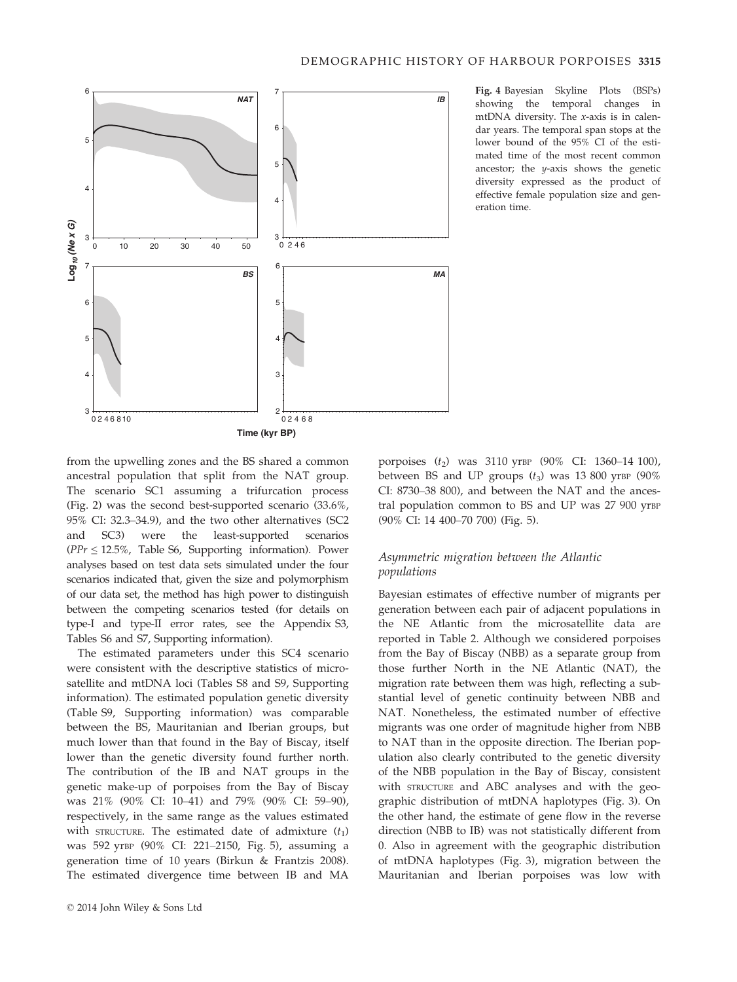

Fig. 4 Bayesian Skyline Plots (BSPs) showing the temporal changes in mtDNA diversity. The x-axis is in calendar years. The temporal span stops at the lower bound of the 95% CI of the estimated time of the most recent common ancestor; the y-axis shows the genetic diversity expressed as the product of effective female population size and generation time.

from the upwelling zones and the BS shared a common ancestral population that split from the NAT group. The scenario SC1 assuming a trifurcation process (Fig. 2) was the second best-supported scenario (33.6%, 95% CI: 32.3–34.9), and the two other alternatives (SC2 and SC3) were the least-supported scenarios  $(PPr \leq 12.5\%$ , Table S6, Supporting information). Power analyses based on test data sets simulated under the four scenarios indicated that, given the size and polymorphism of our data set, the method has high power to distinguish between the competing scenarios tested (for details on type-I and type-II error rates, see the Appendix S3, Tables S6 and S7, Supporting information).

The estimated parameters under this SC4 scenario were consistent with the descriptive statistics of microsatellite and mtDNA loci (Tables S8 and S9, Supporting information). The estimated population genetic diversity (Table S9, Supporting information) was comparable between the BS, Mauritanian and Iberian groups, but much lower than that found in the Bay of Biscay, itself lower than the genetic diversity found further north. The contribution of the IB and NAT groups in the genetic make-up of porpoises from the Bay of Biscay was 21% (90% CI: 10–41) and 79% (90% CI: 59–90), respectively, in the same range as the values estimated with STRUCTURE. The estimated date of admixture  $(t_1)$ was 592 yrBP (90% CI: 221–2150, Fig. 5), assuming a generation time of 10 years (Birkun & Frantzis 2008). The estimated divergence time between IB and MA

porpoises  $(t_2)$  was 3110 yrBP (90% CI: 1360–14 100), between BS and UP groups  $(t_3)$  was 13 800 yrBP (90%) CI: 8730–38 800), and between the NAT and the ancestral population common to BS and UP was 27 900 yrBP (90% CI: 14 400–70 700) (Fig. 5).

# Asymmetric migration between the Atlantic populations

Bayesian estimates of effective number of migrants per generation between each pair of adjacent populations in the NE Atlantic from the microsatellite data are reported in Table 2. Although we considered porpoises from the Bay of Biscay (NBB) as a separate group from those further North in the NE Atlantic (NAT), the migration rate between them was high, reflecting a substantial level of genetic continuity between NBB and NAT. Nonetheless, the estimated number of effective migrants was one order of magnitude higher from NBB to NAT than in the opposite direction. The Iberian population also clearly contributed to the genetic diversity of the NBB population in the Bay of Biscay, consistent with STRUCTURE and ABC analyses and with the geographic distribution of mtDNA haplotypes (Fig. 3). On the other hand, the estimate of gene flow in the reverse direction (NBB to IB) was not statistically different from 0. Also in agreement with the geographic distribution of mtDNA haplotypes (Fig. 3), migration between the Mauritanian and Iberian porpoises was low with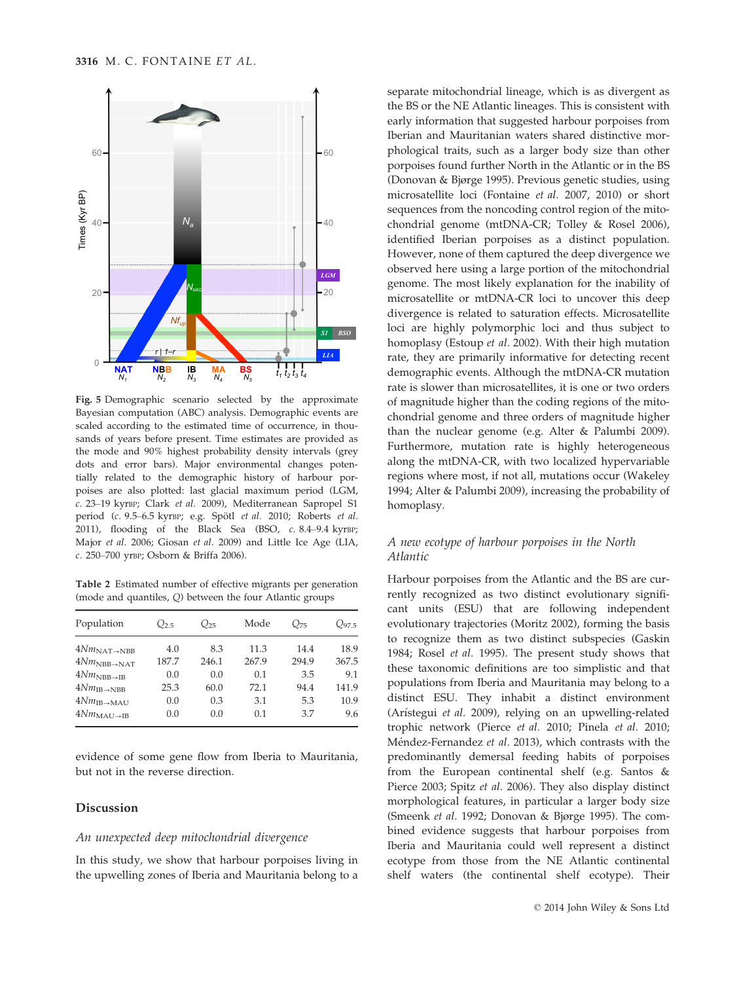

Fig. 5 Demographic scenario selected by the approximate Bayesian computation (ABC) analysis. Demographic events are scaled according to the estimated time of occurrence, in thousands of years before present. Time estimates are provided as the mode and 90% highest probability density intervals (grey dots and error bars). Major environmental changes potentially related to the demographic history of harbour porpoises are also plotted: last glacial maximum period (LGM, c. 23–19 kyrBP; Clark et al. 2009), Mediterranean Sapropel S1 period (c. 9.5–6.5 kyrBP; e.g. Spötl et al. 2010; Roberts et al. 2011), flooding of the Black Sea (BSO,  $c. 8.4-9.4$  kyrBP; Major et al. 2006; Giosan et al. 2009) and Little Ice Age (LIA, c. 250–700 yrBP; Osborn & Briffa 2006).

Table 2 Estimated number of effective migrants per generation (mode and quantiles, Q) between the four Atlantic groups

| Population                    | $Q_{2.5}$ | $Q_{25}$ | Mode  | $Q_{75}$ | $Q_{97.5}$ |
|-------------------------------|-----------|----------|-------|----------|------------|
| $4NmNAT\rightarrow NBB$       | 4.0       | 8.3      | 11.3  | 14.4     | 18.9       |
| $4NmNBB\rightarrow NAT$       | 187.7     | 246.1    | 267.9 | 294.9    | 367.5      |
| $4Nm_{\rm NBB\rightarrow IB}$ | 0.0       | 0.0      | 0.1   | 3.5      | 9.1        |
| $4Nm_{\rm IB\rightarrow NBB}$ | 25.3      | 60.0     | 72.1  | 94.4     | 141.9      |
| $4Nm_{\rm IB\rightarrow MAU}$ | 0.0       | 0.3      | 3.1   | 5.3      | 10.9       |
| $4Nm_{\rm MAU\rightarrow IB}$ | 0.0       | 0.0      | 0.1   | 3.7      | 9.6        |

evidence of some gene flow from Iberia to Mauritania, but not in the reverse direction.

## Discussion

## An unexpected deep mitochondrial divergence

In this study, we show that harbour porpoises living in the upwelling zones of Iberia and Mauritania belong to a

separate mitochondrial lineage, which is as divergent as the BS or the NE Atlantic lineages. This is consistent with early information that suggested harbour porpoises from Iberian and Mauritanian waters shared distinctive morphological traits, such as a larger body size than other porpoises found further North in the Atlantic or in the BS (Donovan & Bjørge 1995). Previous genetic studies, using microsatellite loci (Fontaine et al. 2007, 2010) or short sequences from the noncoding control region of the mitochondrial genome (mtDNA-CR; Tolley & Rosel 2006), identified Iberian porpoises as a distinct population. However, none of them captured the deep divergence we observed here using a large portion of the mitochondrial genome. The most likely explanation for the inability of microsatellite or mtDNA-CR loci to uncover this deep divergence is related to saturation effects. Microsatellite loci are highly polymorphic loci and thus subject to homoplasy (Estoup et al. 2002). With their high mutation rate, they are primarily informative for detecting recent demographic events. Although the mtDNA-CR mutation rate is slower than microsatellites, it is one or two orders of magnitude higher than the coding regions of the mitochondrial genome and three orders of magnitude higher than the nuclear genome (e.g. Alter & Palumbi 2009). Furthermore, mutation rate is highly heterogeneous along the mtDNA-CR, with two localized hypervariable regions where most, if not all, mutations occur (Wakeley 1994; Alter & Palumbi 2009), increasing the probability of homoplasy.

## A new ecotype of harbour porpoises in the North Atlantic

Harbour porpoises from the Atlantic and the BS are currently recognized as two distinct evolutionary significant units (ESU) that are following independent evolutionary trajectories (Moritz 2002), forming the basis to recognize them as two distinct subspecies (Gaskin 1984; Rosel et al. 1995). The present study shows that these taxonomic definitions are too simplistic and that populations from Iberia and Mauritania may belong to a distinct ESU. They inhabit a distinct environment (Arístegui et al. 2009), relying on an upwelling-related trophic network (Pierce et al. 2010; Pinela et al. 2010; Méndez-Fernandez et al. 2013), which contrasts with the predominantly demersal feeding habits of porpoises from the European continental shelf (e.g. Santos & Pierce 2003; Spitz et al. 2006). They also display distinct morphological features, in particular a larger body size (Smeenk et al. 1992; Donovan & Bjørge 1995). The combined evidence suggests that harbour porpoises from Iberia and Mauritania could well represent a distinct ecotype from those from the NE Atlantic continental shelf waters (the continental shelf ecotype). Their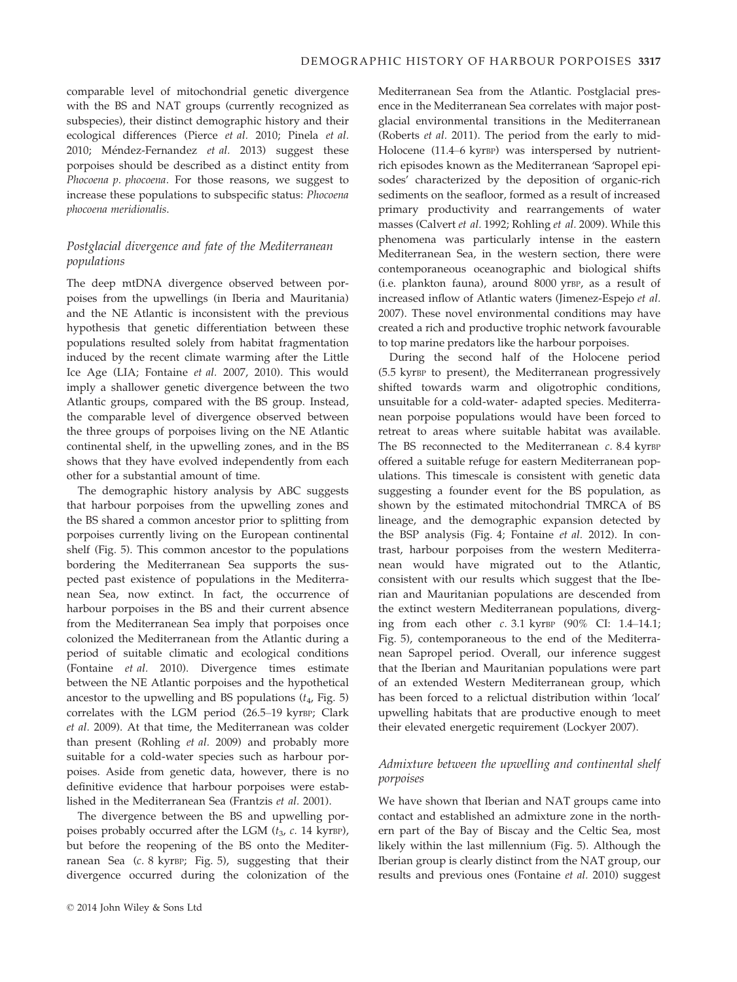comparable level of mitochondrial genetic divergence with the BS and NAT groups (currently recognized as subspecies), their distinct demographic history and their ecological differences (Pierce et al. 2010; Pinela et al. 2010; Méndez-Fernandez et al. 2013) suggest these porpoises should be described as a distinct entity from Phocoena p. phocoena. For those reasons, we suggest to increase these populations to subspecific status: Phocoena phocoena meridionalis.

# Postglacial divergence and fate of the Mediterranean populations

The deep mtDNA divergence observed between porpoises from the upwellings (in Iberia and Mauritania) and the NE Atlantic is inconsistent with the previous hypothesis that genetic differentiation between these populations resulted solely from habitat fragmentation induced by the recent climate warming after the Little Ice Age (LIA; Fontaine et al. 2007, 2010). This would imply a shallower genetic divergence between the two Atlantic groups, compared with the BS group. Instead, the comparable level of divergence observed between the three groups of porpoises living on the NE Atlantic continental shelf, in the upwelling zones, and in the BS shows that they have evolved independently from each other for a substantial amount of time.

The demographic history analysis by ABC suggests that harbour porpoises from the upwelling zones and the BS shared a common ancestor prior to splitting from porpoises currently living on the European continental shelf (Fig. 5). This common ancestor to the populations bordering the Mediterranean Sea supports the suspected past existence of populations in the Mediterranean Sea, now extinct. In fact, the occurrence of harbour porpoises in the BS and their current absence from the Mediterranean Sea imply that porpoises once colonized the Mediterranean from the Atlantic during a period of suitable climatic and ecological conditions (Fontaine et al. 2010). Divergence times estimate between the NE Atlantic porpoises and the hypothetical ancestor to the upwelling and BS populations  $(t_4, Fig. 5)$ correlates with the LGM period (26.5–19 kyrBP; Clark et al. 2009). At that time, the Mediterranean was colder than present (Rohling et al. 2009) and probably more suitable for a cold-water species such as harbour porpoises. Aside from genetic data, however, there is no definitive evidence that harbour porpoises were established in the Mediterranean Sea (Frantzis et al. 2001).

The divergence between the BS and upwelling porpoises probably occurred after the LGM  $(t_3, c. 14 \text{ kyrBP})$ , but before the reopening of the BS onto the Mediterranean Sea (c. 8 kyrBP; Fig. 5), suggesting that their divergence occurred during the colonization of the Mediterranean Sea from the Atlantic. Postglacial presence in the Mediterranean Sea correlates with major postglacial environmental transitions in the Mediterranean (Roberts et al. 2011). The period from the early to mid-Holocene (11.4–6 kyrBP) was interspersed by nutrientrich episodes known as the Mediterranean 'Sapropel episodes' characterized by the deposition of organic-rich sediments on the seafloor, formed as a result of increased primary productivity and rearrangements of water masses (Calvert et al. 1992; Rohling et al. 2009). While this phenomena was particularly intense in the eastern Mediterranean Sea, in the western section, there were contemporaneous oceanographic and biological shifts (i.e. plankton fauna), around 8000 yrBP, as a result of increased inflow of Atlantic waters (Jimenez-Espejo et al. 2007). These novel environmental conditions may have created a rich and productive trophic network favourable to top marine predators like the harbour porpoises.

During the second half of the Holocene period (5.5 kyrBP to present), the Mediterranean progressively shifted towards warm and oligotrophic conditions, unsuitable for a cold-water- adapted species. Mediterranean porpoise populations would have been forced to retreat to areas where suitable habitat was available. The BS reconnected to the Mediterranean  $c$ . 8.4 kyrBP offered a suitable refuge for eastern Mediterranean populations. This timescale is consistent with genetic data suggesting a founder event for the BS population, as shown by the estimated mitochondrial TMRCA of BS lineage, and the demographic expansion detected by the BSP analysis (Fig. 4; Fontaine et al. 2012). In contrast, harbour porpoises from the western Mediterranean would have migrated out to the Atlantic, consistent with our results which suggest that the Iberian and Mauritanian populations are descended from the extinct western Mediterranean populations, diverging from each other c. 3.1 kyrBP (90% CI: 1.4–14.1; Fig. 5), contemporaneous to the end of the Mediterranean Sapropel period. Overall, our inference suggest that the Iberian and Mauritanian populations were part of an extended Western Mediterranean group, which has been forced to a relictual distribution within 'local' upwelling habitats that are productive enough to meet their elevated energetic requirement (Lockyer 2007).

# Admixture between the upwelling and continental shelf porpoises

We have shown that Iberian and NAT groups came into contact and established an admixture zone in the northern part of the Bay of Biscay and the Celtic Sea, most likely within the last millennium (Fig. 5). Although the Iberian group is clearly distinct from the NAT group, our results and previous ones (Fontaine et al. 2010) suggest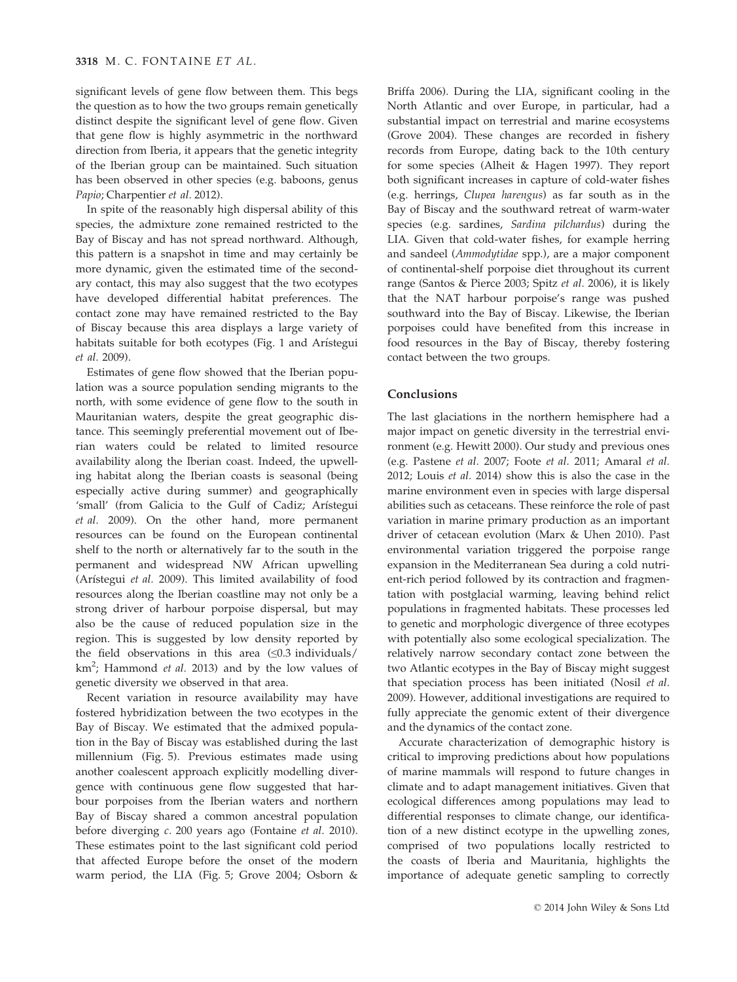significant levels of gene flow between them. This begs the question as to how the two groups remain genetically distinct despite the significant level of gene flow. Given that gene flow is highly asymmetric in the northward direction from Iberia, it appears that the genetic integrity of the Iberian group can be maintained. Such situation has been observed in other species (e.g. baboons, genus Papio; Charpentier et al. 2012).

In spite of the reasonably high dispersal ability of this species, the admixture zone remained restricted to the Bay of Biscay and has not spread northward. Although, this pattern is a snapshot in time and may certainly be more dynamic, given the estimated time of the secondary contact, this may also suggest that the two ecotypes have developed differential habitat preferences. The contact zone may have remained restricted to the Bay of Biscay because this area displays a large variety of habitats suitable for both ecotypes (Fig. 1 and Arístegui et al. 2009).

Estimates of gene flow showed that the Iberian population was a source population sending migrants to the north, with some evidence of gene flow to the south in Mauritanian waters, despite the great geographic distance. This seemingly preferential movement out of Iberian waters could be related to limited resource availability along the Iberian coast. Indeed, the upwelling habitat along the Iberian coasts is seasonal (being especially active during summer) and geographically 'small' (from Galicia to the Gulf of Cadiz; Arístegui et al. 2009). On the other hand, more permanent resources can be found on the European continental shelf to the north or alternatively far to the south in the permanent and widespread NW African upwelling (Arístegui et al. 2009). This limited availability of food resources along the Iberian coastline may not only be a strong driver of harbour porpoise dispersal, but may also be the cause of reduced population size in the region. This is suggested by low density reported by the field observations in this area  $(\leq 0.3 \text{ individuals})$ km<sup>2</sup>; Hammond et al. 2013) and by the low values of genetic diversity we observed in that area.

Recent variation in resource availability may have fostered hybridization between the two ecotypes in the Bay of Biscay. We estimated that the admixed population in the Bay of Biscay was established during the last millennium (Fig. 5). Previous estimates made using another coalescent approach explicitly modelling divergence with continuous gene flow suggested that harbour porpoises from the Iberian waters and northern Bay of Biscay shared a common ancestral population before diverging c. 200 years ago (Fontaine et al. 2010). These estimates point to the last significant cold period that affected Europe before the onset of the modern warm period, the LIA (Fig. 5; Grove 2004; Osborn &

Briffa 2006). During the LIA, significant cooling in the North Atlantic and over Europe, in particular, had a substantial impact on terrestrial and marine ecosystems (Grove 2004). These changes are recorded in fishery records from Europe, dating back to the 10th century for some species (Alheit & Hagen 1997). They report both significant increases in capture of cold-water fishes (e.g. herrings, Clupea harengus) as far south as in the Bay of Biscay and the southward retreat of warm-water species (e.g. sardines, Sardina pilchardus) during the LIA. Given that cold-water fishes, for example herring and sandeel (Ammodytidae spp.), are a major component of continental-shelf porpoise diet throughout its current range (Santos & Pierce 2003; Spitz et al. 2006), it is likely that the NAT harbour porpoise's range was pushed southward into the Bay of Biscay. Likewise, the Iberian porpoises could have benefited from this increase in food resources in the Bay of Biscay, thereby fostering contact between the two groups.

## Conclusions

The last glaciations in the northern hemisphere had a major impact on genetic diversity in the terrestrial environment (e.g. Hewitt 2000). Our study and previous ones (e.g. Pastene et al. 2007; Foote et al. 2011; Amaral et al. 2012; Louis et al. 2014) show this is also the case in the marine environment even in species with large dispersal abilities such as cetaceans. These reinforce the role of past variation in marine primary production as an important driver of cetacean evolution (Marx & Uhen 2010). Past environmental variation triggered the porpoise range expansion in the Mediterranean Sea during a cold nutrient-rich period followed by its contraction and fragmentation with postglacial warming, leaving behind relict populations in fragmented habitats. These processes led to genetic and morphologic divergence of three ecotypes with potentially also some ecological specialization. The relatively narrow secondary contact zone between the two Atlantic ecotypes in the Bay of Biscay might suggest that speciation process has been initiated (Nosil et al. 2009). However, additional investigations are required to fully appreciate the genomic extent of their divergence and the dynamics of the contact zone.

Accurate characterization of demographic history is critical to improving predictions about how populations of marine mammals will respond to future changes in climate and to adapt management initiatives. Given that ecological differences among populations may lead to differential responses to climate change, our identification of a new distinct ecotype in the upwelling zones, comprised of two populations locally restricted to the coasts of Iberia and Mauritania, highlights the importance of adequate genetic sampling to correctly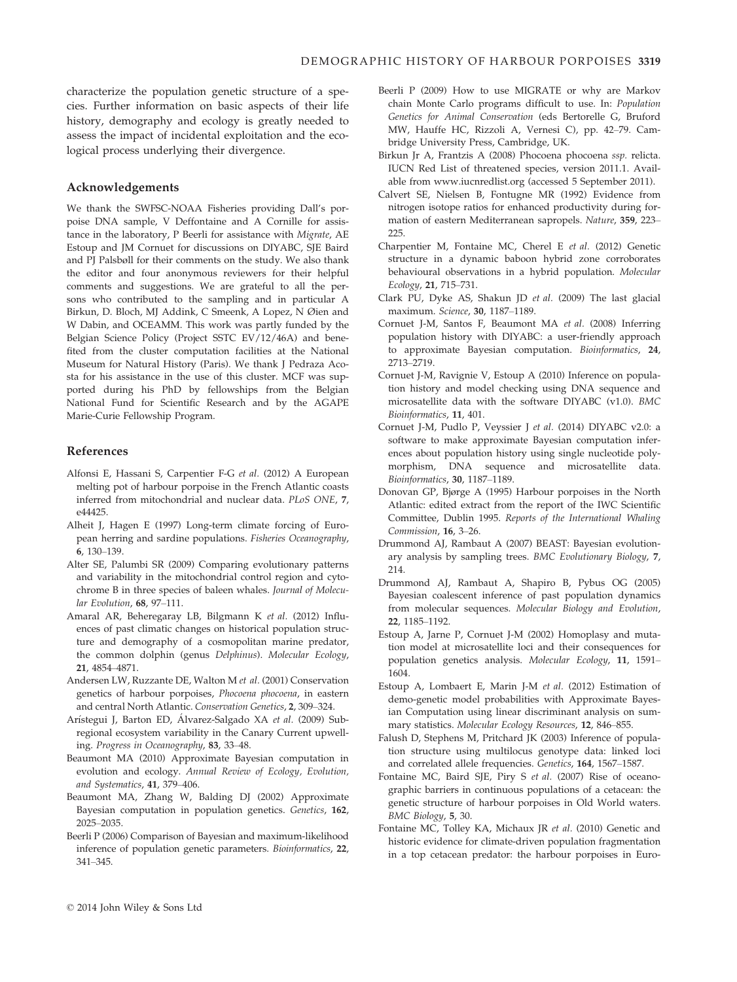characterize the population genetic structure of a species. Further information on basic aspects of their life history, demography and ecology is greatly needed to assess the impact of incidental exploitation and the ecological process underlying their divergence.

## Acknowledgements

We thank the SWFSC-NOAA Fisheries providing Dall's porpoise DNA sample, V Deffontaine and A Cornille for assistance in the laboratory, P Beerli for assistance with Migrate, AE Estoup and JM Cornuet for discussions on DIYABC, SJE Baird and PJ Palsbøll for their comments on the study. We also thank the editor and four anonymous reviewers for their helpful comments and suggestions. We are grateful to all the persons who contributed to the sampling and in particular A Birkun, D. Bloch, MJ Addink, C Smeenk, A Lopez, N Øien and W Dabin, and OCEAMM. This work was partly funded by the Belgian Science Policy (Project SSTC EV/12/46A) and benefited from the cluster computation facilities at the National Museum for Natural History (Paris). We thank J Pedraza Acosta for his assistance in the use of this cluster. MCF was supported during his PhD by fellowships from the Belgian National Fund for Scientific Research and by the AGAPE Marie-Curie Fellowship Program.

## References

- Alfonsi E, Hassani S, Carpentier F-G et al. (2012) A European melting pot of harbour porpoise in the French Atlantic coasts inferred from mitochondrial and nuclear data. PLoS ONE, 7, e44425.
- Alheit J, Hagen E (1997) Long-term climate forcing of European herring and sardine populations. Fisheries Oceanography, 6, 130–139.
- Alter SE, Palumbi SR (2009) Comparing evolutionary patterns and variability in the mitochondrial control region and cytochrome B in three species of baleen whales. Journal of Molecular Evolution, 68, 97–111.
- Amaral AR, Beheregaray LB, Bilgmann K et al. (2012) Influences of past climatic changes on historical population structure and demography of a cosmopolitan marine predator, the common dolphin (genus Delphinus). Molecular Ecology, 21, 4854–4871.
- Andersen LW, Ruzzante DE, Walton M et al. (2001) Conservation genetics of harbour porpoises, Phocoena phocoena, in eastern and central North Atlantic. Conservation Genetics, 2, 309–324.
- Arístegui J, Barton ED, Álvarez-Salgado XA et al. (2009) Subregional ecosystem variability in the Canary Current upwelling. Progress in Oceanography, 83, 33–48.
- Beaumont MA (2010) Approximate Bayesian computation in evolution and ecology. Annual Review of Ecology, Evolution, and Systematics, 41, 379–406.
- Beaumont MA, Zhang W, Balding DJ (2002) Approximate Bayesian computation in population genetics. Genetics, 162, 2025–2035.
- Beerli P (2006) Comparison of Bayesian and maximum-likelihood inference of population genetic parameters. Bioinformatics, 22, 341–345.
- Beerli P (2009) How to use MIGRATE or why are Markov chain Monte Carlo programs difficult to use. In: Population Genetics for Animal Conservation (eds Bertorelle G, Bruford MW, Hauffe HC, Rizzoli A, Vernesi C), pp. 42–79. Cambridge University Press, Cambridge, UK.
- Birkun Jr A, Frantzis A (2008) Phocoena phocoena ssp. relicta. IUCN Red List of threatened species, version 2011.1. Available from www.iucnredlist.org (accessed 5 September 2011).
- Calvert SE, Nielsen B, Fontugne MR (1992) Evidence from nitrogen isotope ratios for enhanced productivity during formation of eastern Mediterranean sapropels. Nature, 359, 223– 225.
- Charpentier M, Fontaine MC, Cherel E et al. (2012) Genetic structure in a dynamic baboon hybrid zone corroborates behavioural observations in a hybrid population. Molecular Ecology, 21, 715–731.
- Clark PU, Dyke AS, Shakun JD et al. (2009) The last glacial maximum. Science, 30, 1187–1189.
- Cornuet J-M, Santos F, Beaumont MA et al. (2008) Inferring population history with DIYABC: a user-friendly approach to approximate Bayesian computation. Bioinformatics, 24, 2713–2719.
- Cornuet J-M, Ravignie V, Estoup A (2010) Inference on population history and model checking using DNA sequence and microsatellite data with the software DIYABC (v1.0). BMC Bioinformatics, 11, 401.
- Cornuet J-M, Pudlo P, Veyssier J et al. (2014) DIYABC v2.0: a software to make approximate Bayesian computation inferences about population history using single nucleotide polymorphism, DNA sequence and microsatellite data. Bioinformatics, 30, 1187–1189.
- Donovan GP, Bjørge A (1995) Harbour porpoises in the North Atlantic: edited extract from the report of the IWC Scientific Committee, Dublin 1995. Reports of the International Whaling Commission, 16, 3–26.
- Drummond AJ, Rambaut A (2007) BEAST: Bayesian evolutionary analysis by sampling trees. BMC Evolutionary Biology, 7, 214.
- Drummond AJ, Rambaut A, Shapiro B, Pybus OG (2005) Bayesian coalescent inference of past population dynamics from molecular sequences. Molecular Biology and Evolution, 22, 1185–1192.
- Estoup A, Jarne P, Cornuet J-M (2002) Homoplasy and mutation model at microsatellite loci and their consequences for population genetics analysis. Molecular Ecology, 11, 1591– 1604.
- Estoup A, Lombaert E, Marin J-M et al. (2012) Estimation of demo-genetic model probabilities with Approximate Bayesian Computation using linear discriminant analysis on summary statistics. Molecular Ecology Resources, 12, 846–855.
- Falush D, Stephens M, Pritchard JK (2003) Inference of population structure using multilocus genotype data: linked loci and correlated allele frequencies. Genetics, 164, 1567–1587.
- Fontaine MC, Baird SJE, Piry S et al. (2007) Rise of oceanographic barriers in continuous populations of a cetacean: the genetic structure of harbour porpoises in Old World waters. BMC Biology, 5, 30.
- Fontaine MC, Tolley KA, Michaux JR et al. (2010) Genetic and historic evidence for climate-driven population fragmentation in a top cetacean predator: the harbour porpoises in Euro-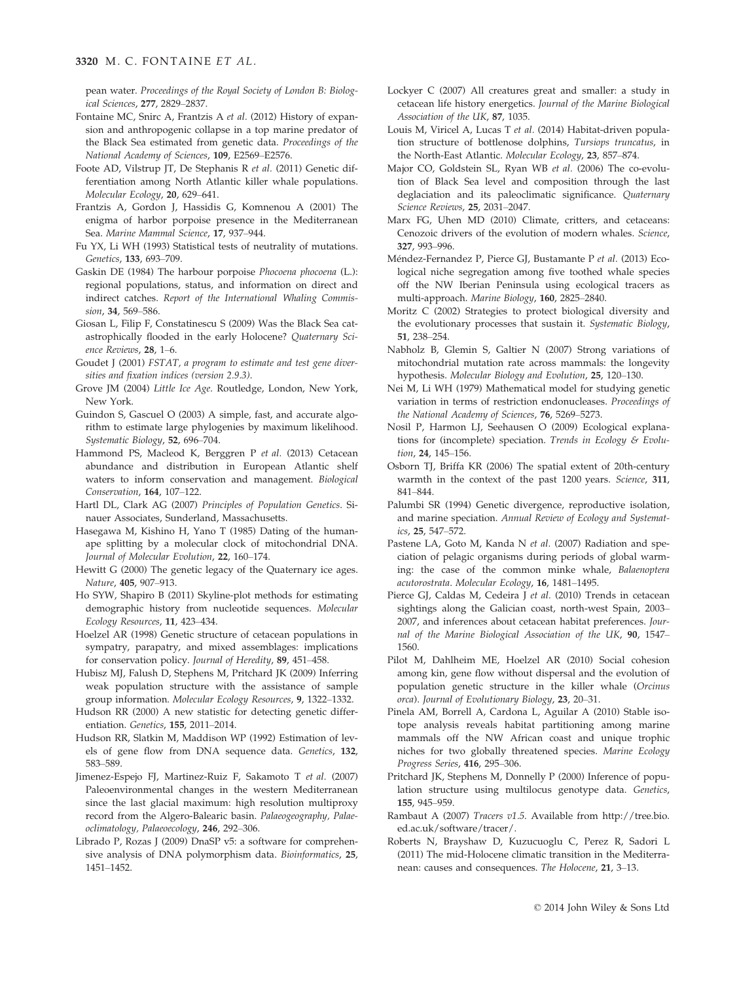pean water. Proceedings of the Royal Society of London B: Biological Sciences, 277, 2829–2837.

- Fontaine MC, Snirc A, Frantzis A et al. (2012) History of expansion and anthropogenic collapse in a top marine predator of the Black Sea estimated from genetic data. Proceedings of the National Academy of Sciences, 109, E2569–E2576.
- Foote AD, Vilstrup JT, De Stephanis R et al. (2011) Genetic differentiation among North Atlantic killer whale populations. Molecular Ecology, 20, 629–641.
- Frantzis A, Gordon J, Hassidis G, Komnenou A (2001) The enigma of harbor porpoise presence in the Mediterranean Sea. Marine Mammal Science, 17, 937–944.
- Fu YX, Li WH (1993) Statistical tests of neutrality of mutations. Genetics, 133, 693–709.
- Gaskin DE (1984) The harbour porpoise Phocoena phocoena (L.): regional populations, status, and information on direct and indirect catches. Report of the International Whaling Commission, 34, 569–586.
- Giosan L, Filip F, Constatinescu S (2009) Was the Black Sea catastrophically flooded in the early Holocene? Quaternary Science Reviews, 28, 1–6.
- Goudet J (2001) FSTAT, a program to estimate and test gene diversities and fixation indices (version 2.9.3).
- Grove JM (2004) Little Ice Age. Routledge, London, New York, New York.
- Guindon S, Gascuel O (2003) A simple, fast, and accurate algorithm to estimate large phylogenies by maximum likelihood. Systematic Biology, 52, 696–704.
- Hammond PS, Macleod K, Berggren P et al. (2013) Cetacean abundance and distribution in European Atlantic shelf waters to inform conservation and management. Biological Conservation, 164, 107–122.
- Hartl DL, Clark AG (2007) Principles of Population Genetics. Sinauer Associates, Sunderland, Massachusetts.
- Hasegawa M, Kishino H, Yano T (1985) Dating of the humanape splitting by a molecular clock of mitochondrial DNA. Journal of Molecular Evolution, 22, 160–174.
- Hewitt G (2000) The genetic legacy of the Quaternary ice ages. Nature, 405, 907–913.
- Ho SYW, Shapiro B (2011) Skyline-plot methods for estimating demographic history from nucleotide sequences. Molecular Ecology Resources, 11, 423–434.
- Hoelzel AR (1998) Genetic structure of cetacean populations in sympatry, parapatry, and mixed assemblages: implications for conservation policy. Journal of Heredity, 89, 451–458.
- Hubisz MJ, Falush D, Stephens M, Pritchard JK (2009) Inferring weak population structure with the assistance of sample group information. Molecular Ecology Resources, 9, 1322–1332.
- Hudson RR (2000) A new statistic for detecting genetic differentiation. Genetics, 155, 2011–2014.
- Hudson RR, Slatkin M, Maddison WP (1992) Estimation of levels of gene flow from DNA sequence data. Genetics, 132, 583–589.
- Jimenez-Espejo FJ, Martinez-Ruiz F, Sakamoto T et al. (2007) Paleoenvironmental changes in the western Mediterranean since the last glacial maximum: high resolution multiproxy record from the Algero-Balearic basin. Palaeogeography, Palaeoclimatology, Palaeoecology, 246, 292–306.
- Librado P, Rozas J (2009) DnaSP v5: a software for comprehensive analysis of DNA polymorphism data. Bioinformatics, 25, 1451–1452.
- Lockyer C (2007) All creatures great and smaller: a study in cetacean life history energetics. Journal of the Marine Biological Association of the UK, 87, 1035.
- Louis M, Viricel A, Lucas T et al. (2014) Habitat-driven population structure of bottlenose dolphins, Tursiops truncatus, in the North-East Atlantic. Molecular Ecology, 23, 857-874.
- Major CO, Goldstein SL, Ryan WB et al. (2006) The co-evolution of Black Sea level and composition through the last deglaciation and its paleoclimatic significance. Quaternary Science Reviews, 25, 2031–2047.
- Marx FG, Uhen MD (2010) Climate, critters, and cetaceans: Cenozoic drivers of the evolution of modern whales. Science, 327, 993–996.
- Méndez-Fernandez P, Pierce GJ, Bustamante P et al. (2013) Ecological niche segregation among five toothed whale species off the NW Iberian Peninsula using ecological tracers as multi-approach. Marine Biology, 160, 2825–2840.
- Moritz C (2002) Strategies to protect biological diversity and the evolutionary processes that sustain it. Systematic Biology, 51, 238–254.
- Nabholz B, Glemin S, Galtier N (2007) Strong variations of mitochondrial mutation rate across mammals: the longevity hypothesis. Molecular Biology and Evolution, 25, 120–130.
- Nei M, Li WH (1979) Mathematical model for studying genetic variation in terms of restriction endonucleases. Proceedings of the National Academy of Sciences, 76, 5269–5273.
- Nosil P, Harmon LJ, Seehausen O (2009) Ecological explanations for (incomplete) speciation. Trends in Ecology & Evolution, 24, 145–156.
- Osborn TJ, Briffa KR (2006) The spatial extent of 20th-century warmth in the context of the past 1200 years. Science, 311, 841–844.
- Palumbi SR (1994) Genetic divergence, reproductive isolation, and marine speciation. Annual Review of Ecology and Systematics, 25, 547–572.
- Pastene LA, Goto M, Kanda N et al. (2007) Radiation and speciation of pelagic organisms during periods of global warming: the case of the common minke whale, Balaenoptera acutorostrata. Molecular Ecology, 16, 1481–1495.
- Pierce GJ, Caldas M, Cedeira J et al. (2010) Trends in cetacean sightings along the Galician coast, north-west Spain, 2003– 2007, and inferences about cetacean habitat preferences. Journal of the Marine Biological Association of the UK, 90, 1547– 1560.
- Pilot M, Dahlheim ME, Hoelzel AR (2010) Social cohesion among kin, gene flow without dispersal and the evolution of population genetic structure in the killer whale (Orcinus orca). Journal of Evolutionary Biology, 23, 20–31.
- Pinela AM, Borrell A, Cardona L, Aguilar A (2010) Stable isotope analysis reveals habitat partitioning among marine mammals off the NW African coast and unique trophic niches for two globally threatened species. Marine Ecology Progress Series, 416, 295–306.
- Pritchard JK, Stephens M, Donnelly P (2000) Inference of population structure using multilocus genotype data. Genetics, 155, 945–959.
- Rambaut A (2007) Tracers v1.5. Available from http://tree.bio. ed.ac.uk/software/tracer/.
- Roberts N, Brayshaw D, Kuzucuoglu C, Perez R, Sadori L (2011) The mid-Holocene climatic transition in the Mediterranean: causes and consequences. The Holocene, 21, 3–13.